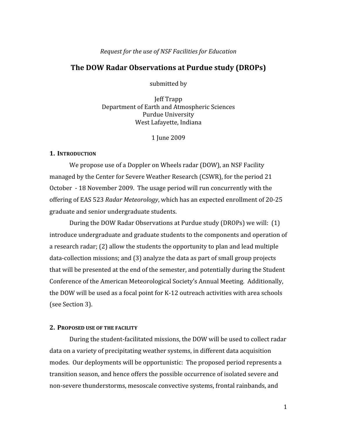### Request for the use of NSF Facilities for Education

### The DOW Radar Observations at Purdue study (DROPs)

submitted by

Jeff Trapp Department of Earth and Atmospheric Sciences **Purdue University** West Lafayette, Indiana

1 Iune 2009

### **1. INTRODUCTION**

We propose use of a Doppler on Wheels radar (DOW), an NSF Facility managed by the Center for Severe Weather Research (CSWR), for the period 21 October - 18 November 2009. The usage period will run concurrently with the offering of EAS 523 Radar Meteorology, which has an expected enrollment of 20-25 graduate and senior undergraduate students.

During the DOW Radar Observations at Purdue study (DROPs) we will: (1) introduce undergraduate and graduate students to the components and operation of a research radar; (2) allow the students the opportunity to plan and lead multiple data-collection missions; and (3) analyze the data as part of small group projects that will be presented at the end of the semester, and potentially during the Student Conference of the American Meteorological Society's Annual Meeting. Additionally, the DOW will be used as a focal point for K-12 outreach activities with area schools (see Section 3).

### 2. PROPOSED USE OF THE FACILITY

During the student-facilitated missions, the DOW will be used to collect radar data on a variety of precipitating weather systems, in different data acquisition modes. Our deployments will be opportunistic: The proposed period represents a transition season, and hence offers the possible occurrence of isolated severe and non-severe thunderstorms, mesoscale convective systems, frontal rainbands, and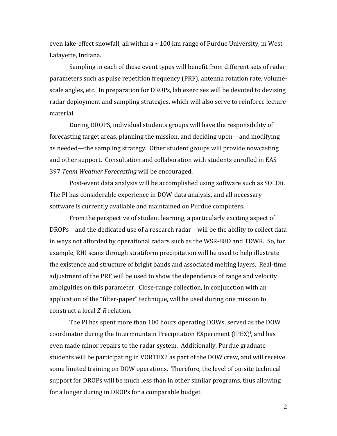even lake-effect snowfall, all within a  $\sim$ 100 km range of Purdue University, in West Lafayette, Indiana.

Sampling in each of these event types will benefit from different sets of radar parameters such as pulse repetition frequency (PRF), antenna rotation rate, volumescale angles, etc. In preparation for DROPs, lab exercises will be devoted to devising radar deployment and sampling strategies, which will also serve to reinforce lecture material.

During DROPS, individual students groups will have the responsibility of forecasting target areas, planning the mission, and deciding upon—and modifying as needed—the sampling strategy. Other student groups will provide nowcasting and other support. Consultation and collaboration with students enrolled in EAS 397 Team Weather Forecasting will be encouraged.

Post-event data analysis will be accomplished using software such as SOLOii. The PI has considerable experience in DOW-data analysis, and all necessary software is currently available and maintained on Purdue computers.

From the perspective of student learning, a particularly exciting aspect of DROPs - and the dedicated use of a research radar - will be the ability to collect data in ways not afforded by operational radars such as the WSR-88D and TDWR. So, for example, RHI scans through stratiform precipitation will be used to help illustrate the existence and structure of bright bands and associated melting layers. Real-time adjustment of the PRF will be used to show the dependence of range and velocity ambiguities on this parameter. Close-range collection, in conjunction with an application of the "filter-paper" technique, will be used during one mission to construct a local Z-R relation.

The PI has spent more than 100 hours operating DOWs, served as the DOW coordinator during the Intermountain Precipitation EXperiment (IPEX)<sup>*i*</sup>, and has even made minor repairs to the radar system. Additionally, Purdue graduate students will be participating in VORTEX2 as part of the DOW crew, and will receive some limited training on DOW operations. Therefore, the level of on-site technical support for DROPs will be much less than in other similar programs, thus allowing for a longer during in DROPs for a comparable budget.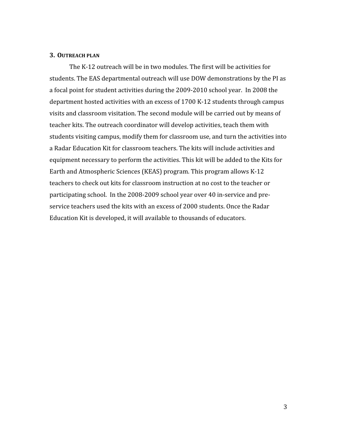### **3. OUTREACH PLAN**

The K-12 outreach will be in two modules. The first will be activities for students. The EAS departmental outreach will use DOW demonstrations by the PI as a focal point for student activities during the 2009-2010 school year. In 2008 the department hosted activities with an excess of 1700 K-12 students through campus visits and classroom visitation. The second module will be carried out by means of teacher kits. The outreach coordinator will develop activities, teach them with students visiting campus, modify them for classroom use, and turn the activities into a Radar Education Kit for classroom teachers. The kits will include activities and equipment necessary to perform the activities. This kit will be added to the Kits for Earth and Atmospheric Sciences (KEAS) program. This program allows K-12 teachers to check out kits for classroom instruction at no cost to the teacher or participating school. In the 2008-2009 school year over 40 in-service and preservice teachers used the kits with an excess of 2000 students. Once the Radar Education Kit is developed, it will available to thousands of educators.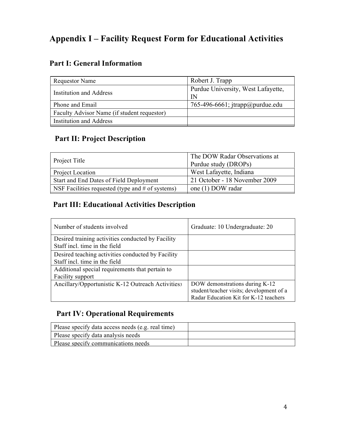# **Appendix I – Facility Request Form for Educational Activities**

## **Part I: General Information**

| <b>Requestor Name</b>                       | Robert J. Trapp                               |
|---------------------------------------------|-----------------------------------------------|
| <b>Institution and Address</b>              | Purdue University, West Lafayette,<br>IN      |
| Phone and Email                             | 765-496-6661; $\frac{1}{2}$ trapp@ purdue.edu |
| Faculty Advisor Name (if student requestor) |                                               |
| <b>Institution and Address</b>              |                                               |

## **Part II: Project Description**

| Project Title                                      | The DOW Radar Observations at<br>Purdue study (DROPs) |
|----------------------------------------------------|-------------------------------------------------------|
| Project Location                                   | West Lafayette, Indiana                               |
| Start and End Dates of Field Deployment            | 21 October - 18 November 2009                         |
| NSF Facilities requested (type and $#$ of systems) | one (1) DOW radar                                     |

### **Part III: Educational Activities Description**

| Number of students involved                                                        | Graduate: 10 Undergraduate: 20                                                                                      |
|------------------------------------------------------------------------------------|---------------------------------------------------------------------------------------------------------------------|
| Desired training activities conducted by Facility<br>Staff incl. time in the field |                                                                                                                     |
| Desired teaching activities conducted by Facility<br>Staff incl. time in the field |                                                                                                                     |
| Additional special requirements that pertain to<br>Facility support                |                                                                                                                     |
| Ancillary/Opportunistic K-12 Outreach Activitiess                                  | DOW demonstrations during K-12<br>student/teacher visits; development of a<br>Radar Education Kit for K-12 teachers |

## **Part IV: Operational Requirements**

| Please specify data access needs (e.g. real time) |  |
|---------------------------------------------------|--|
| Please specify data analysis needs                |  |
| Please specify communications needs               |  |